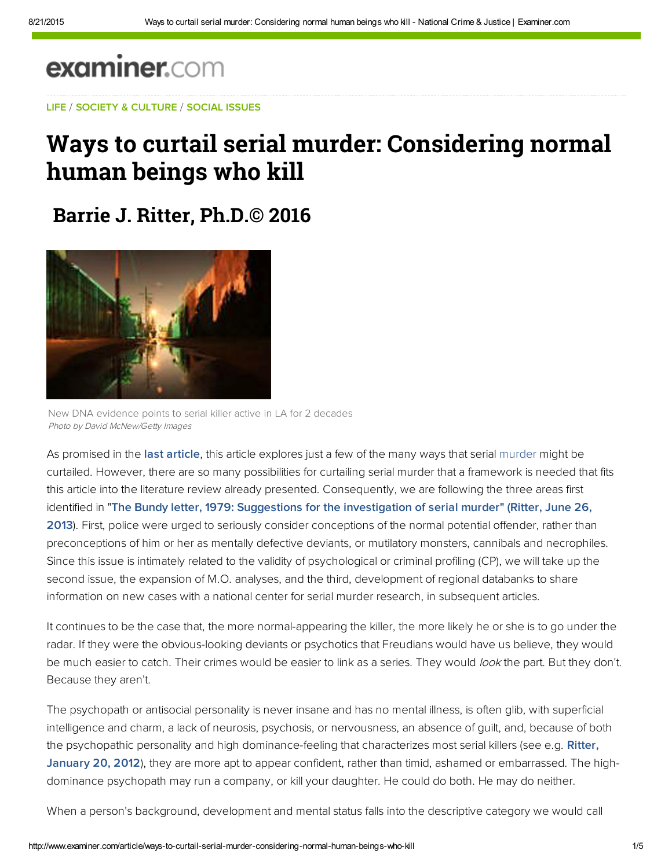# examiner.com

### LIFE / SOCIETY & CULTURE / SOCIAL ISSUES

## Ways to curtail serial murder: Considering normal human beings who kill

### **Barrie J. Ritter, Ph.D.© 2016**



New DNA evidence points to serial killer active in LA for 2 decades Photo by David McNew/Getty Images

As promised in the [last article](www.ritterhomicideresearch.com/articles/VICAP_the-FBIs-serial-murder-tracking-system.pdf), this article explores just a few of the many ways that serial murder might be curtailed. However, there are so many possibilities for curtailing serial murder that a framework is needed that fits this article into the literature review already presented. Consequently, we are following the three areas first identified in "The Bundy letter, 1979: Suggestions for the investigation of serial murder" (Ritter, June 26, [2013\). First, police were urged to seriously consider conceptions of the normal potential offender, rather than](www.ritterhomicideresearch.com/articles/The-Bundy-Letter.pdf) preconceptions of him or her as mentally defective deviants, or mutilatory monsters, cannibals and necrophiles. Since this issue is intimately related to the validity of psychological or criminal profiling (CP), we will take up the second issue, the expansion of M.O. analyses, and the third, development of regional databanks to share information on new cases with a national center for serial murder research, in subsequent articles.

It continues to be the case that, the more normal-appearing the killer, the more likely he or she is to go under the radar. If they were the obvious-looking deviants or psychotics that Freudians would have us believe, they would be much easier to catch. Their crimes would be easier to link as a series. They would look the part. But they don't. Because they aren't.

The psychopath or antisocial personality is never insane and has no mental illness, is often glib, with superficial intelligence and charm, a lack of neurosis, psychosis, or nervousness, an absence of guilt, and, because of both the psychopathic personality and high dominance-feeling that characterizes most serial killers (see e.g. Ritter, [January 20, 2012\), they are more apt to appear confident, rather than timid, ashamed or embarrassed. The h](www.ritterhomicideresearch.com/articles/Part-5.pdf)ighdominance psychopath may run a company, or kill your daughter. He could do both. He may do neither.

When a person's background, development and mental status falls into the descriptive category we would call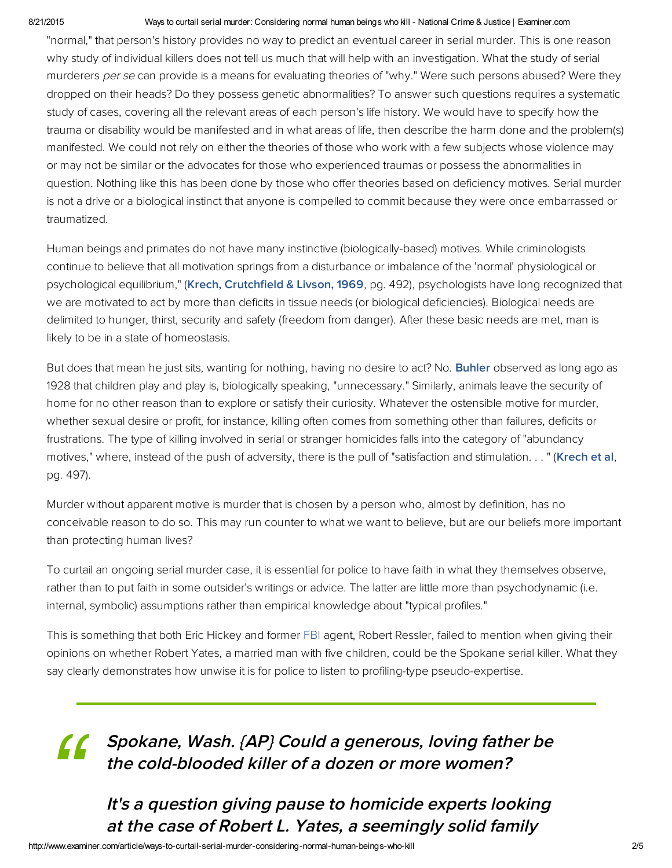### 8/21/2015 Ways to curtail serial murder: Considering normal human beings who kill National Crime & Justice | Examiner.com

"normal," that person's history provides no way to predict an eventual career in serial murder. This is one reason why study of individual killers does not tell us much that will help with an investigation. What the study of serial murderers per se can provide is a means for evaluating theories of "why." Were such persons abused? Were they dropped on their heads? Do they possess genetic abnormalities? To answer such questions requires a systematic study of cases, covering all the relevant areas of each person's life history. We would have to specify how the trauma or disability would be manifested and in what areas of life, then describe the harm done and the problem(s) manifested. We could not rely on either the theories of those who work with a few subjects whose violence may or may not be similar or the advocates for those who experienced traumas or possess the abnormalities in question. Nothing like this has been done by those who offer theories based on deficiency motives. Serial murder is not a drive or a biological instinct that anyone is compelled to commit because they were once embarrassed or traumatized.

Human beings and primates do not have many instinctive (biologically-based) motives. While criminologists continue to believe that all motivation springs from a disturbance or imbalance of the 'normal' physiological or psychological equilibrium," ([Krech, Crutchfield & Livson, 1969,](http://www.worldcat.org/title/elements-of-psychology-instructors-manual-to-accompany-krech-crutchfield-livson/oclc/122262991) pg. 492), psychologists have long recognized that we are motivated to act by more than deficits in tissue needs (or biological deficiencies). Biological needs are delimited to hunger, thirst, security and safety (freedom from danger). After these basic needs are met, man is likely to be in a state of homeostasis.

But does that mean he just sits, wanting for nothing, having no desire to act? No. [Buhler](https://en.wikipedia.org/wiki/Charlotte_B%C3%BChler) observed as long ago as 1928 that children play and play is, biologically speaking, "unnecessary." Similarly, animals leave the security of home for no other reason than to explore or satisfy their curiosity. Whatever the ostensible motive for murder, whether sexual desire or profit, for instance, killing often comes from something other than failures, deficits or frustrations. The type of killing involved in serial or stranger homicides falls into the category of "abundancy motives," where, instead of the push of adversity, there is the pull of "satisfaction and stimulation..." ([Krech et al,](http://www.worldcat.org/title/elements-of-psychology-instructors-manual-to-accompany-krech-crutchfield-livson/oclc/122262991) pg. 497).

Murder without apparent motive is murder that is chosen by a person who, almost by definition, has no conceivable reason to do so. This may run counter to what we want to believe, but are our beliefs more important than protecting human lives?

To curtail an ongoing serial murder case, it is essential for police to have faith in what they themselves observe, rather than to put faith in some outsider's writings or advice. The latter are little more than psychodynamic (i.e. internal, symbolic) assumptions rather than empirical knowledge about "typical profiles."

This is something that both Eric Hickey and former FBI agent, Robert Ressler, failed to mention when giving their opinions on whether Robert Yates, a married man with five children, could be the Spokane serial killer. What they say clearly demonstrates how unwise it is for police to listen to profiling-type pseudo-expertise.

# Spokane, Wash. {AP} Could a generous, loving father be the cold-blooded killer of a dozen or more women? *"*

It's a question giving pause to homicide experts looking at the case of Robert L. Yates, a seemingly solid family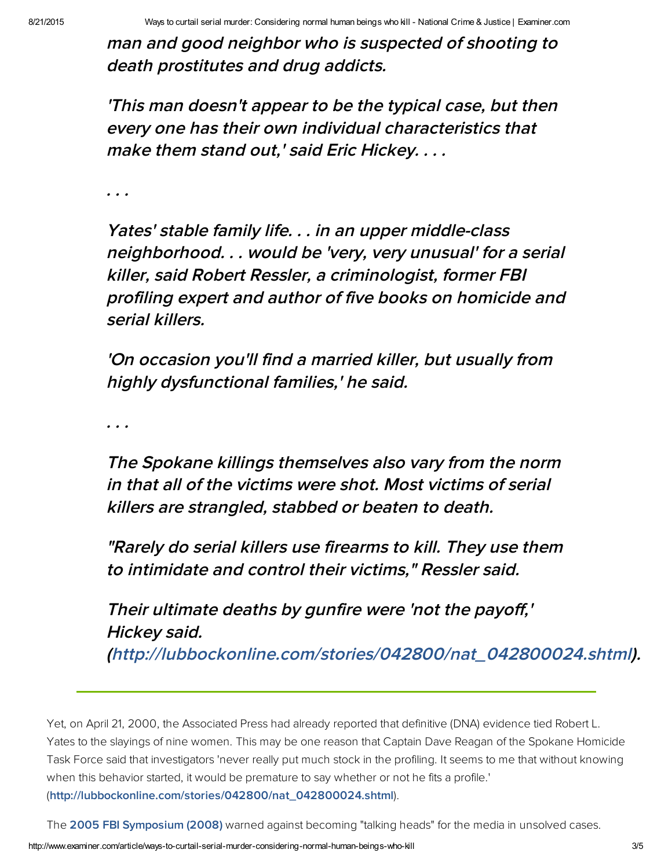man and good neighbor who is suspected of shooting to death prostitutes and drug addicts.

'This man doesn't appear to be the typical case, but then every one has their own individual characteristics that make them stand out,' said Eric Hickey. . . .

. . .

Yates' stable family life. . . in an upper middle-class neighborhood. . . would be 'very, very unusual' for <sup>a</sup> serial killer, said Robert Ressler, <sup>a</sup> criminologist, former FBI profiling expert and author of five books on homicide and serial killers.

'On occasion you'll find <sup>a</sup> married killer, but usually from highly dysfunctional families,' he said.

. . .

The Spokane killings themselves also vary from the norm in that all of the victims were shot. Most victims of serial killers are strangled, stabbed or beaten to death.

"Rarely do serial killers use firearms to kill. They use them to intimidate and control their victims," Ressler said.

Their ultimate deaths by gunfire were 'not the payoff,' Hickey said. [\(http://lubbockonline.com/stories/042800/nat\\_042800024.shtml\)](http://lubbockonline.com/stories/042800/nat_042800024.shtml).

Yet, on April 21, 2000, the Associated Press had already reported that definitive (DNA) evidence tied Robert L. Yates to the slayings of nine women. This may be one reason that Captain Dave Reagan of the Spokane Homicide Task Force said that investigators 'never really put much stock in the profiling. It seems to me that without knowing when this behavior started, it would be premature to say whether or not he fits a profile.' [\(http://lubbockonline.com/stories/042800/nat\\_042800024.shtml\)](http://lubbockonline.com/stories/042800/nat_042800024.shtml).

The 2005 FBI [Symposium](http://1.usa.gov/JtzSDp) (2008) warned against becoming "talking heads" for the media in unsolved cases.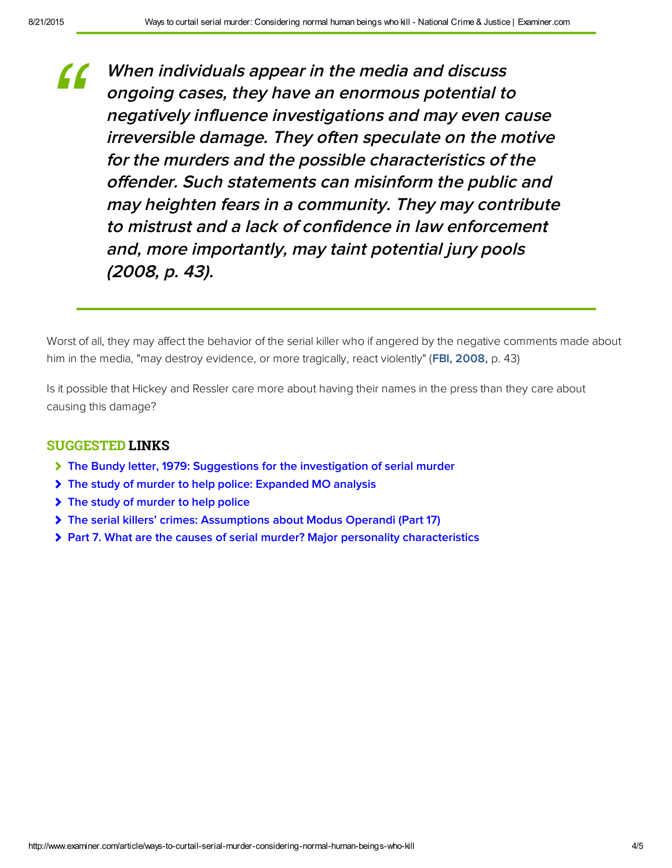When individuals appear in the media and discuss ongoing cases, they have an enormous potential to negatively influence investigations and may even cause irreversible damage. They often speculate on the motive for the murders and the possible characteristics of the offender. Such statements can misinform the public and may heighten fears in a community. They may contribute to mistrust and a lack of confidence in law enforcement and, more importantly, may taint potential jury pools (2008, p. 43). *"*

Worst of all, they may affect the behavior of the serial killer who if angered by the negative comments made about him in the media, "may destroy evidence, or more tragically, react violently" (FBI, 2008, p. 43)

Is it possible that Hickey and Ressler care more about having their names in the press than they care about causing this damage?

### SUGGESTED LINKS

- [The Bundy letter, 1979: Suggestions for the investigation of serial murder](www.ritterhomicideresearch.com/articles/The-Bundy-letter-1979_Suggestions-for-investigation-of-serial-murder.pdf)
- [The study of murder to help police: Expanded MO analysis](www.ritterhomicideresearch.com/articles/The-study-of-murder-to-help-police_Expanded-MO-analysis.pdf)
- > [The study of murder to help police](www.ritterhomicideresearch.com/articles/The-study-of-murder-to-help-police.pdf)
- [The serial killers' crimes: Assumptions about Modus Operandi \(Part 17\)](www.ritterhomicideresearch.com/articles/Part-17.pdf)
- [Part 7. What are the causes of serial murder? Major personality characteristics](www.ritterhomicideresearch.com/articles/Part-7.pdf)